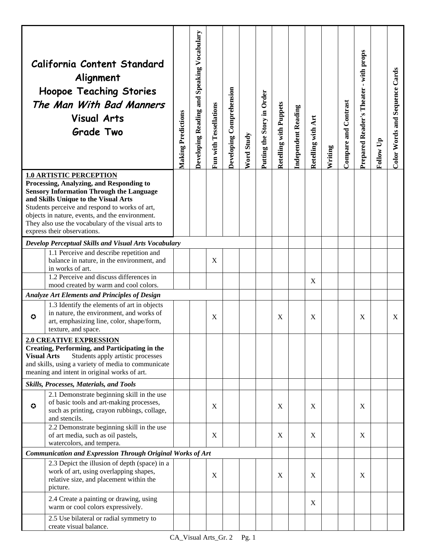|                                                                                                                                                                                                                                                                                                                                                                 | California Content Standard<br>Alignment<br><b>Hoopoe Teaching Stories</b><br>The Man With Bad Manners<br><b>Visual Arts</b><br><b>Grade Two</b>       | <b>Making Predictions</b> | Developing Reading and Speaking Vocabulary | Fun with Tessellations | Developing Comprehension | Word Study | Putting the Story in Order | Retelling with Puppets | <b>Independent Reading</b> | Retelling with Art | Writing | Compare and Contrast | with props<br>$\blacksquare$<br>Prepared Reader's Theater | Follow Up | Color Words and Sequence Cards |
|-----------------------------------------------------------------------------------------------------------------------------------------------------------------------------------------------------------------------------------------------------------------------------------------------------------------------------------------------------------------|--------------------------------------------------------------------------------------------------------------------------------------------------------|---------------------------|--------------------------------------------|------------------------|--------------------------|------------|----------------------------|------------------------|----------------------------|--------------------|---------|----------------------|-----------------------------------------------------------|-----------|--------------------------------|
| <b>1.0 ARTISTIC PERCEPTION</b><br>Processing, Analyzing, and Responding to<br><b>Sensory Information Through the Language</b><br>and Skills Unique to the Visual Arts<br>Students perceive and respond to works of art,<br>objects in nature, events, and the environment.<br>They also use the vocabulary of the visual arts to<br>express their observations. |                                                                                                                                                        |                           |                                            |                        |                          |            |                            |                        |                            |                    |         |                      |                                                           |           |                                |
|                                                                                                                                                                                                                                                                                                                                                                 | Develop Perceptual Skills and Visual Arts Vocabulary                                                                                                   |                           |                                            |                        |                          |            |                            |                        |                            |                    |         |                      |                                                           |           |                                |
|                                                                                                                                                                                                                                                                                                                                                                 | 1.1 Perceive and describe repetition and<br>balance in nature, in the environment, and<br>in works of art.                                             |                           |                                            | X                      |                          |            |                            |                        |                            |                    |         |                      |                                                           |           |                                |
|                                                                                                                                                                                                                                                                                                                                                                 | 1.2 Perceive and discuss differences in                                                                                                                |                           |                                            |                        |                          |            |                            |                        |                            | X                  |         |                      |                                                           |           |                                |
|                                                                                                                                                                                                                                                                                                                                                                 | mood created by warm and cool colors.                                                                                                                  |                           |                                            |                        |                          |            |                            |                        |                            |                    |         |                      |                                                           |           |                                |
|                                                                                                                                                                                                                                                                                                                                                                 | Analyze Art Elements and Principles of Design<br>1.3 Identify the elements of art in objects                                                           |                           |                                            |                        |                          |            |                            |                        |                            |                    |         |                      |                                                           |           |                                |
| $\bullet$                                                                                                                                                                                                                                                                                                                                                       | in nature, the environment, and works of<br>art, emphasizing line, color, shape/form,<br>texture, and space.                                           |                           |                                            | X                      |                          |            |                            | X                      |                            | X                  |         |                      | X                                                         |           | X                              |
|                                                                                                                                                                                                                                                                                                                                                                 | <b>2.0 CREATIVE EXPRESSION</b>                                                                                                                         |                           |                                            |                        |                          |            |                            |                        |                            |                    |         |                      |                                                           |           |                                |
| <b>Creating, Performing, and Participating in the</b><br><b>Visual Arts</b><br>Students apply artistic processes<br>and skills, using a variety of media to communicate<br>meaning and intent in original works of art.                                                                                                                                         |                                                                                                                                                        |                           |                                            |                        |                          |            |                            |                        |                            |                    |         |                      |                                                           |           |                                |
|                                                                                                                                                                                                                                                                                                                                                                 | Skills, Processes, Materials, and Tools                                                                                                                |                           |                                            |                        |                          |            |                            |                        |                            |                    |         |                      |                                                           |           |                                |
| $\bf{O}$                                                                                                                                                                                                                                                                                                                                                        | 2.1 Demonstrate beginning skill in the use<br>of basic tools and art-making processes,<br>such as printing, crayon rubbings, collage,<br>and stencils. |                           |                                            | X                      |                          |            |                            | X                      |                            | X                  |         |                      | X                                                         |           |                                |
|                                                                                                                                                                                                                                                                                                                                                                 | 2.2 Demonstrate beginning skill in the use<br>of art media, such as oil pastels,<br>watercolors, and tempera.                                          |                           |                                            | $\mathbf X$            |                          |            |                            | X                      |                            | X                  |         |                      | X                                                         |           |                                |
|                                                                                                                                                                                                                                                                                                                                                                 | Communication and Expression Through Original Works of Art                                                                                             |                           |                                            |                        |                          |            |                            |                        |                            |                    |         |                      |                                                           |           |                                |
|                                                                                                                                                                                                                                                                                                                                                                 | 2.3 Depict the illusion of depth (space) in a<br>work of art, using overlapping shapes,<br>relative size, and placement within the<br>picture.         |                           |                                            | X                      |                          |            |                            | X                      |                            | X                  |         |                      | X                                                         |           |                                |
|                                                                                                                                                                                                                                                                                                                                                                 | 2.4 Create a painting or drawing, using<br>warm or cool colors expressively.                                                                           |                           |                                            |                        |                          |            |                            |                        |                            | X                  |         |                      |                                                           |           |                                |
|                                                                                                                                                                                                                                                                                                                                                                 | 2.5 Use bilateral or radial symmetry to<br>create visual balance.                                                                                      |                           |                                            |                        |                          |            |                            |                        |                            |                    |         |                      |                                                           |           |                                |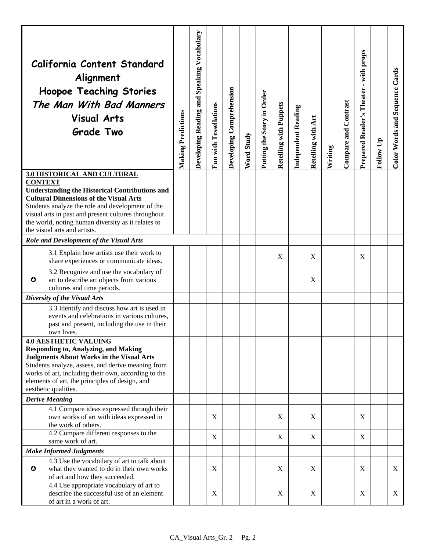|                                                                                                                                                                                                                                                                                           | California Content Standard<br>Alignment<br><b>Hoopoe Teaching Stories</b><br>The Man With Bad Manners<br><b>Visual Arts</b><br><b>Grade Two</b>          | <b>Making Predictions</b> | Developing Reading and Speaking Vocabulary | Fun with Tessellations | Developing Comprehension | Word Study | Putting the Story in Order | <b>Retelling with Puppets</b> | Independent Reading | Art<br>Retelling with | Writing | Compare and Contrast | - with props<br>Prepared Reader's Theater | Follow Up | Color Words and Sequence Cards |
|-------------------------------------------------------------------------------------------------------------------------------------------------------------------------------------------------------------------------------------------------------------------------------------------|-----------------------------------------------------------------------------------------------------------------------------------------------------------|---------------------------|--------------------------------------------|------------------------|--------------------------|------------|----------------------------|-------------------------------|---------------------|-----------------------|---------|----------------------|-------------------------------------------|-----------|--------------------------------|
|                                                                                                                                                                                                                                                                                           | 3.0 HISTORICAL AND CULTURAL                                                                                                                               |                           |                                            |                        |                          |            |                            |                               |                     |                       |         |                      |                                           |           |                                |
| <b>CONTEXT</b><br><b>Understanding the Historical Contributions and</b><br><b>Cultural Dimensions of the Visual Arts</b><br>Students analyze the role and development of the<br>visual arts in past and present cultures throughout<br>the world, noting human diversity as it relates to |                                                                                                                                                           |                           |                                            |                        |                          |            |                            |                               |                     |                       |         |                      |                                           |           |                                |
|                                                                                                                                                                                                                                                                                           | the visual arts and artists.<br>Role and Development of the Visual Arts                                                                                   |                           |                                            |                        |                          |            |                            |                               |                     |                       |         |                      |                                           |           |                                |
|                                                                                                                                                                                                                                                                                           | 3.1 Explain how artists use their work to<br>share experiences or communicate ideas.                                                                      |                           |                                            |                        |                          |            |                            | X                             |                     | X                     |         |                      | X                                         |           |                                |
| $\bf{O}$                                                                                                                                                                                                                                                                                  | 3.2 Recognize and use the vocabulary of<br>art to describe art objects from various<br>cultures and time periods.                                         |                           |                                            |                        |                          |            |                            |                               |                     | X                     |         |                      |                                           |           |                                |
|                                                                                                                                                                                                                                                                                           | Diversity of the Visual Arts                                                                                                                              |                           |                                            |                        |                          |            |                            |                               |                     |                       |         |                      |                                           |           |                                |
|                                                                                                                                                                                                                                                                                           | 3.3 Identify and discuss how art is used in<br>events and celebrations in various cultures,<br>past and present, including the use in their<br>own lives. |                           |                                            |                        |                          |            |                            |                               |                     |                       |         |                      |                                           |           |                                |
| <b>4.0 AESTHETIC VALUING</b><br><b>Responding to, Analyzing, and Making</b><br><b>Judgments About Works in the Visual Arts</b><br>Students analyze, assess, and derive meaning from                                                                                                       |                                                                                                                                                           |                           |                                            |                        |                          |            |                            |                               |                     |                       |         |                      |                                           |           |                                |
|                                                                                                                                                                                                                                                                                           | works of art, including their own, according to the<br>elements of art, the principles of design, and<br>aesthetic qualities.                             |                           |                                            |                        |                          |            |                            |                               |                     |                       |         |                      |                                           |           |                                |
|                                                                                                                                                                                                                                                                                           | <b>Derive Meaning</b>                                                                                                                                     |                           |                                            |                        |                          |            |                            |                               |                     |                       |         |                      |                                           |           |                                |
|                                                                                                                                                                                                                                                                                           | 4.1 Compare ideas expressed through their<br>own works of art with ideas expressed in<br>the work of others.                                              |                           |                                            | X                      |                          |            |                            | X                             |                     | X                     |         |                      | X                                         |           |                                |
|                                                                                                                                                                                                                                                                                           | 4.2 Compare different responses to the                                                                                                                    |                           |                                            | X                      |                          |            |                            | X                             |                     | X                     |         |                      | X                                         |           |                                |
| same work of art.<br><b>Make Informed Judgments</b>                                                                                                                                                                                                                                       |                                                                                                                                                           |                           |                                            |                        |                          |            |                            |                               |                     |                       |         |                      |                                           |           |                                |
| $\bullet$                                                                                                                                                                                                                                                                                 | 4.3 Use the vocabulary of art to talk about<br>what they wanted to do in their own works<br>of art and how they succeeded.                                |                           |                                            | $\mathbf X$            |                          |            |                            | X                             |                     | X                     |         |                      | X                                         |           | X                              |
|                                                                                                                                                                                                                                                                                           | 4.4 Use appropriate vocabulary of art to<br>describe the successful use of an element<br>of art in a work of art.                                         |                           |                                            | $\mathbf X$            |                          |            |                            | X                             |                     | X                     |         |                      | X                                         |           | X                              |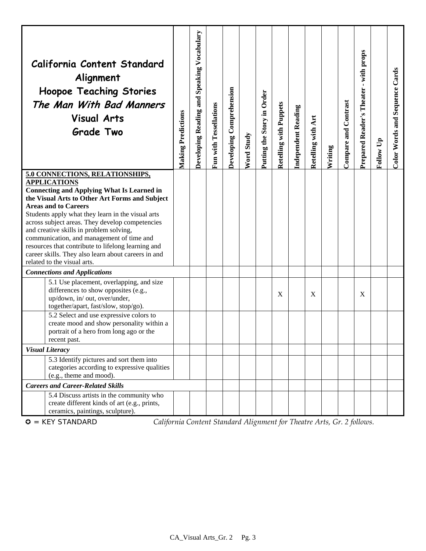|                                                                                                                                                                                                                                                                                                                                                                                                                                                                                                                                          | California Content Standard<br>Alignment<br><b>Hoopoe Teaching Stories</b><br>The Man With Bad Manners<br><b>Visual Arts</b><br><b>Grade Two</b>                                                     | <b>Making Predictions</b> | Developing Reading and Speaking Vocabulary | Fun with Tessellations | Developing Comprehension | Word Study | Putting the Story in Order | <b>Retelling with Puppets</b> | Independent Reading | Retelling with Art | Writing | Compare and Contrast | Prepared Reader's Theater - with props | Follow Up | Color Words and Sequence Cards |
|------------------------------------------------------------------------------------------------------------------------------------------------------------------------------------------------------------------------------------------------------------------------------------------------------------------------------------------------------------------------------------------------------------------------------------------------------------------------------------------------------------------------------------------|------------------------------------------------------------------------------------------------------------------------------------------------------------------------------------------------------|---------------------------|--------------------------------------------|------------------------|--------------------------|------------|----------------------------|-------------------------------|---------------------|--------------------|---------|----------------------|----------------------------------------|-----------|--------------------------------|
| 5.0 CONNECTIONS, RELATIONSHIPS,<br><b>APPLICATIONS</b><br><b>Connecting and Applying What Is Learned in</b><br>the Visual Arts to Other Art Forms and Subject<br><b>Areas and to Careers</b><br>Students apply what they learn in the visual arts<br>across subject areas. They develop competencies<br>and creative skills in problem solving,<br>communication, and management of time and<br>resources that contribute to lifelong learning and<br>career skills. They also learn about careers in and<br>related to the visual arts. |                                                                                                                                                                                                      |                           |                                            |                        |                          |            |                            |                               |                     |                    |         |                      |                                        |           |                                |
|                                                                                                                                                                                                                                                                                                                                                                                                                                                                                                                                          | <b>Connections and Applications</b>                                                                                                                                                                  |                           |                                            |                        |                          |            |                            |                               |                     |                    |         |                      |                                        |           |                                |
|                                                                                                                                                                                                                                                                                                                                                                                                                                                                                                                                          | 5.1 Use placement, overlapping, and size<br>differences to show opposites (e.g.,<br>up/down, in/ out, over/under,<br>together/apart, fast/slow, stop/go).<br>5.2 Select and use expressive colors to |                           |                                            |                        |                          |            |                            | X                             |                     | X                  |         |                      | X                                      |           |                                |
|                                                                                                                                                                                                                                                                                                                                                                                                                                                                                                                                          | create mood and show personality within a<br>portrait of a hero from long ago or the<br>recent past.                                                                                                 |                           |                                            |                        |                          |            |                            |                               |                     |                    |         |                      |                                        |           |                                |
|                                                                                                                                                                                                                                                                                                                                                                                                                                                                                                                                          | <b>Visual Literacy</b>                                                                                                                                                                               |                           |                                            |                        |                          |            |                            |                               |                     |                    |         |                      |                                        |           |                                |
|                                                                                                                                                                                                                                                                                                                                                                                                                                                                                                                                          | 5.3 Identify pictures and sort them into<br>categories according to expressive qualities<br>(e.g., theme and mood).                                                                                  |                           |                                            |                        |                          |            |                            |                               |                     |                    |         |                      |                                        |           |                                |
|                                                                                                                                                                                                                                                                                                                                                                                                                                                                                                                                          | <b>Careers and Career-Related Skills</b>                                                                                                                                                             |                           |                                            |                        |                          |            |                            |                               |                     |                    |         |                      |                                        |           |                                |
|                                                                                                                                                                                                                                                                                                                                                                                                                                                                                                                                          | 5.4 Discuss artists in the community who<br>create different kinds of art (e.g., prints,<br>ceramics, paintings, sculpture).                                                                         |                           |                                            |                        |                          |            |                            |                               |                     |                    |         |                      |                                        |           |                                |

= KEY STANDARD *California Content Standard Alignment for Theatre Arts, Gr. 2 follows.*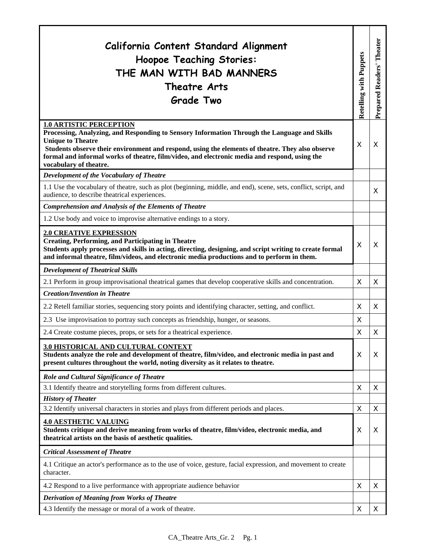| California Content Standard Alignment<br><b>Hoopoe Teaching Stories:</b><br>THE MAN WITH BAD MANNERS<br>Theatre Arts<br><b>Grade Two</b>                                                                                                                                                                                                                                                  | <b>Retelling with Puppets</b> | Theater<br><b>Prepared Readers'</b> |
|-------------------------------------------------------------------------------------------------------------------------------------------------------------------------------------------------------------------------------------------------------------------------------------------------------------------------------------------------------------------------------------------|-------------------------------|-------------------------------------|
| <b>1.0 ARTISTIC PERCEPTION</b><br>Processing, Analyzing, and Responding to Sensory Information Through the Language and Skills<br><b>Unique to Theatre</b><br>Students observe their environment and respond, using the elements of theatre. They also observe<br>formal and informal works of theatre, film/video, and electronic media and respond, using the<br>vocabulary of theatre. | X                             | X                                   |
| Development of the Vocabulary of Theatre                                                                                                                                                                                                                                                                                                                                                  |                               |                                     |
| 1.1 Use the vocabulary of theatre, such as plot (beginning, middle, and end), scene, sets, conflict, script, and<br>audience, to describe theatrical experiences.                                                                                                                                                                                                                         |                               | X                                   |
| <b>Comprehension and Analysis of the Elements of Theatre</b>                                                                                                                                                                                                                                                                                                                              |                               |                                     |
| 1.2 Use body and voice to improvise alternative endings to a story.                                                                                                                                                                                                                                                                                                                       |                               |                                     |
| <b>2.0 CREATIVE EXPRESSION</b><br><b>Creating, Performing, and Participating in Theatre</b><br>Students apply processes and skills in acting, directing, designing, and script writing to create formal<br>and informal theatre, film/videos, and electronic media productions and to perform in them.                                                                                    | X                             | X                                   |
| <b>Development of Theatrical Skills</b>                                                                                                                                                                                                                                                                                                                                                   |                               |                                     |
| 2.1 Perform in group improvisational theatrical games that develop cooperative skills and concentration.                                                                                                                                                                                                                                                                                  | X                             | X                                   |
| <b>Creation/Invention in Theatre</b>                                                                                                                                                                                                                                                                                                                                                      |                               |                                     |
| 2.2 Retell familiar stories, sequencing story points and identifying character, setting, and conflict.                                                                                                                                                                                                                                                                                    | X                             | X                                   |
| 2.3 Use improvisation to portray such concepts as friendship, hunger, or seasons.                                                                                                                                                                                                                                                                                                         | X                             |                                     |
| 2.4 Create costume pieces, props, or sets for a theatrical experience.                                                                                                                                                                                                                                                                                                                    | X                             | X                                   |
| 3.0 HISTORICAL AND CULTURAL CONTEXT<br>Students analyze the role and development of theatre, film/video, and electronic media in past and<br>present cultures throughout the world, noting diversity as it relates to theatre.                                                                                                                                                            | X                             | X                                   |
| Role and Cultural Significance of Theatre                                                                                                                                                                                                                                                                                                                                                 |                               |                                     |
| 3.1 Identify theatre and storytelling forms from different cultures.                                                                                                                                                                                                                                                                                                                      | X                             | X                                   |
| <b>History of Theater</b>                                                                                                                                                                                                                                                                                                                                                                 |                               |                                     |
| 3.2 Identify universal characters in stories and plays from different periods and places.                                                                                                                                                                                                                                                                                                 | X                             | X                                   |
| <b>4.0 AESTHETIC VALUING</b><br>Students critique and derive meaning from works of theatre, film/video, electronic media, and<br>theatrical artists on the basis of aesthetic qualities.                                                                                                                                                                                                  | X                             | X                                   |
| <b>Critical Assessment of Theatre</b>                                                                                                                                                                                                                                                                                                                                                     |                               |                                     |
| 4.1 Critique an actor's performance as to the use of voice, gesture, facial expression, and movement to create<br>character.                                                                                                                                                                                                                                                              |                               |                                     |
| 4.2 Respond to a live performance with appropriate audience behavior                                                                                                                                                                                                                                                                                                                      | X                             | X                                   |
| <b>Derivation of Meaning from Works of Theatre</b>                                                                                                                                                                                                                                                                                                                                        |                               |                                     |
| 4.3 Identify the message or moral of a work of theatre.                                                                                                                                                                                                                                                                                                                                   | X                             | X                                   |

T